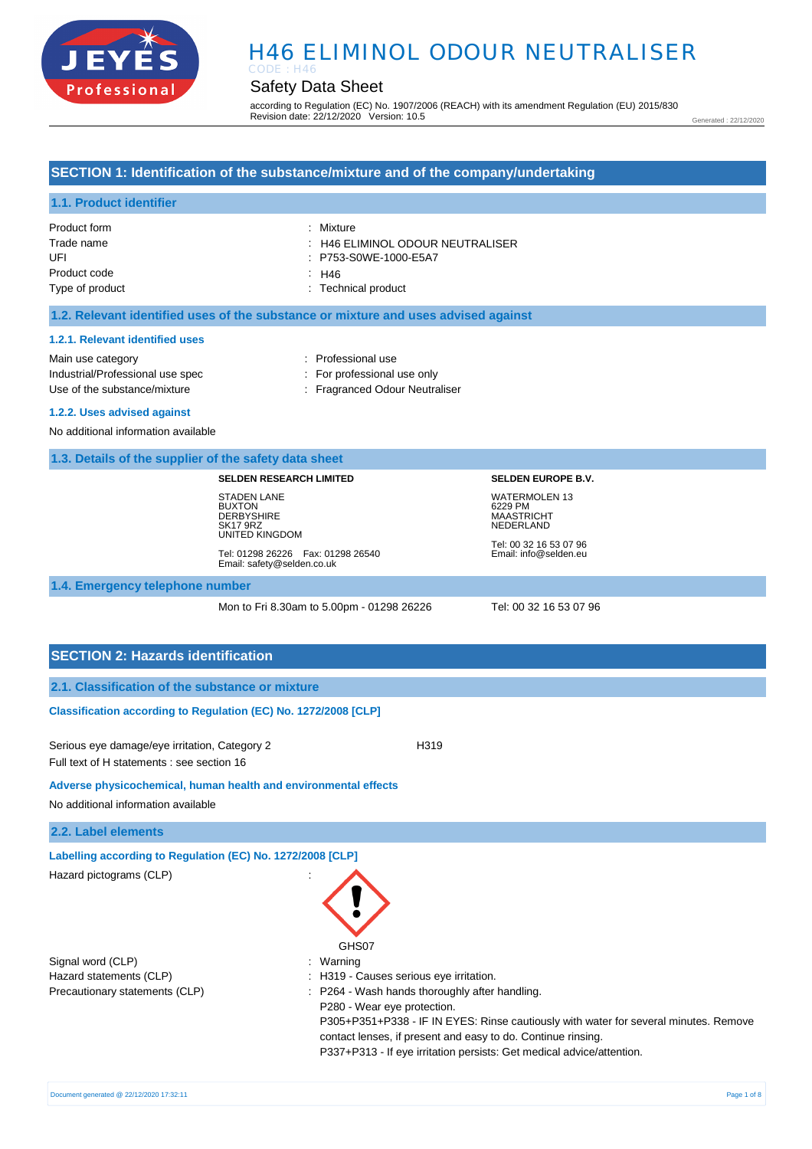

# Safety Data Sheet

according to Regulation (EC) No. 1907/2006 (REACH) with its amendment Regulation (EU) 2015/830 Revision date: 22/12/2020 Version: 10.5

Generated : 22/12/2020

### **SECTION 1: Identification of the substance/mixture and of the company/undertaking**

### **1.1. Product identifier**

| Product form    | : Mixture                        |
|-----------------|----------------------------------|
| Trade name      | : H46 ELIMINOL ODOUR NEUTRALISER |
| UFI             | : P753-S0WE-1000-E5A7            |
| Product code    | ∴ H46                            |
| Type of product | : Technical product              |

#### **1.2. Relevant identified uses of the substance or mixture and uses advised against**

#### **1.2.1. Relevant identified uses**

Main use category **Example 20** and 20 and 20 and 20 and 20 and 20 and 20 and 20 and 20 and 20 and 20 and 20 and 20 and 20 and 20 and 20 and 20 and 20 and 20 and 20 and 20 and 20 and 20 and 20 and 20 and 20 and 20 and 20 an Industrial/Professional use spec : For professional use only

Use of the substance/mixture : Fragranced Odour Neutraliser

#### **1.2.2. Uses advised against**

No additional information available

#### **1.3. Details of the supplier of the safety data sheet**

#### **SELDEN RESEARCH LIMITED**

STADEN LANE BUXTON **DERBYSHIRE** SK17 9RZ UNITED KINGDOM

Tel: 01298 26226 Fax: 01298 26540 Email: safety@selden.co.uk

Tel: 00 32 16 53 07 96 Email: info@selden.eu

**SELDEN EUROPE B.V.** WATERMOLEN 13 6229 PM MAASTRICHT NEDERLAND

# **1.4. Emergency telephone number**

Mon to Fri 8.30am to 5.00pm - 01298 26226 Tel: 00 32 16 53 07 96

# **SECTION 2: Hazards identification**

### **Classification according to Regulation (EC) No. 1272/2008 [CLP]**

Serious eye damage/eye irritation, Category 2 <br>
H319 Full text of H statements : see section 16

#### **Adverse physicochemical, human health and environmental effects**

No additional information available

#### **2.2. Label elements**

**Labelling according to Regulation (EC) No. 1272/2008 [CLP]** 

| Hazard pictograms (CLP)        |                                                                                      |
|--------------------------------|--------------------------------------------------------------------------------------|
|                                | GHS07                                                                                |
| Signal word (CLP)              | Warning<br>÷                                                                         |
| Hazard statements (CLP)        | : H319 - Causes serious eye irritation.                                              |
| Precautionary statements (CLP) | P264 - Wash hands thoroughly after handling.                                         |
|                                | P280 - Wear eye protection.                                                          |
|                                | P305+P351+P338 - IF IN EYES: Rinse cautiously with water for several minutes. Remove |
|                                | contact lenses, if present and easy to do. Continue rinsing.                         |
|                                | P337+P313 - If eye irritation persists: Get medical advice/attention.                |
|                                |                                                                                      |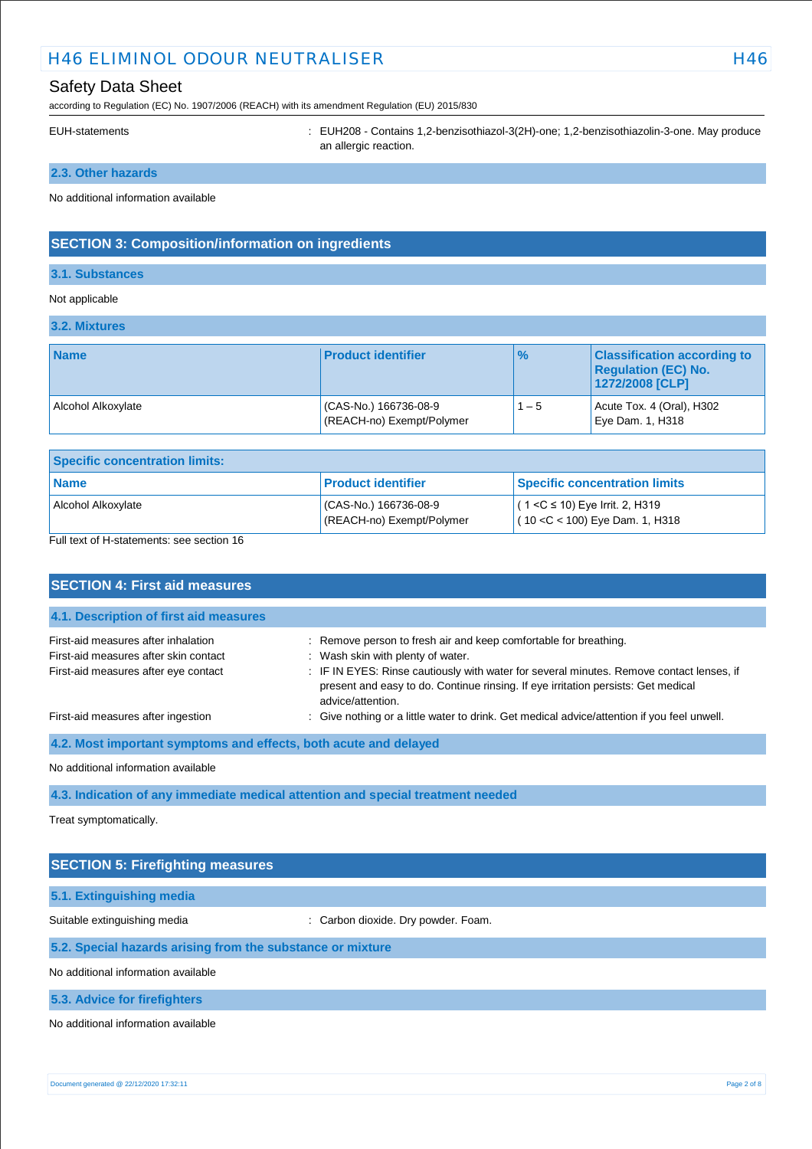# Safety Data Sheet

according to Regulation (EC) No. 1907/2006 (REACH) with its amendment Regulation (EU) 2015/830

EUH-statements : EUH208 - Contains 1,2-benzisothiazol-3(2H)-one; 1,2-benzisothiazolin-3-one. May produce an allergic reaction.

# **2.3. Other hazards**

No additional information available

# **SECTION 3: Composition/information on ingredients**

### **3.1. Substances**

### Not applicable

| 3.2. Mixtures      |                                                   |               |                                                                                     |
|--------------------|---------------------------------------------------|---------------|-------------------------------------------------------------------------------------|
| <b>Name</b>        | <b>Product identifier</b>                         | $\frac{1}{6}$ | <b>Classification according to</b><br><b>Regulation (EC) No.</b><br>1272/2008 [CLP] |
| Alcohol Alkoxylate | CAS-No.) 166736-08-9<br>(REACH-no) Exempt/Polymer | $1 - 5$       | Acute Tox. 4 (Oral), H302<br>Eye Dam. 1, H318                                       |

| <b>Specific concentration limits:</b> |                                                      |                                                                          |  |
|---------------------------------------|------------------------------------------------------|--------------------------------------------------------------------------|--|
| <b>Name</b>                           | <b>Product identifier</b>                            | <b>Specific concentration limits</b>                                     |  |
| Alcohol Alkoxylate                    | $(CAS-No.) 166736-08-9$<br>(REACH-no) Exempt/Polymer | $(1 < C \le 10)$ Eye Irrit. 2, H319<br>$(10 < C < 100)$ Eye Dam. 1, H318 |  |

Full text of H-statements: see section 16

| <b>SECTION 4: First aid measures</b>                                                                                 |                                                                                                                                                                                                                                                                                                             |  |  |
|----------------------------------------------------------------------------------------------------------------------|-------------------------------------------------------------------------------------------------------------------------------------------------------------------------------------------------------------------------------------------------------------------------------------------------------------|--|--|
| 4.1. Description of first aid measures                                                                               |                                                                                                                                                                                                                                                                                                             |  |  |
| First-aid measures after inhalation<br>First-aid measures after skin contact<br>First-aid measures after eye contact | : Remove person to fresh air and keep comfortable for breathing.<br>: Wash skin with plenty of water.<br>: IF IN EYES: Rinse cautiously with water for several minutes. Remove contact lenses, if<br>present and easy to do. Continue rinsing. If eye irritation persists: Get medical<br>advice/attention. |  |  |
| First-aid measures after ingestion                                                                                   | : Give nothing or a little water to drink. Get medical advice/attention if you feel unwell.                                                                                                                                                                                                                 |  |  |
| 4.2. Most important symptoms and effects, both acute and delayed                                                     |                                                                                                                                                                                                                                                                                                             |  |  |
| No additional information available                                                                                  |                                                                                                                                                                                                                                                                                                             |  |  |
| 4.3. Indication of any immediate medical attention and special treatment needed                                      |                                                                                                                                                                                                                                                                                                             |  |  |

Treat symptomatically.

| <b>SECTION 5: Firefighting measures</b>                    |                                     |  |
|------------------------------------------------------------|-------------------------------------|--|
|                                                            |                                     |  |
| 5.1. Extinguishing media                                   |                                     |  |
| Suitable extinguishing media                               | : Carbon dioxide. Dry powder. Foam. |  |
| 5.2. Special hazards arising from the substance or mixture |                                     |  |
| No additional information available                        |                                     |  |
| 5.3. Advice for firefighters                               |                                     |  |
| No additional information available                        |                                     |  |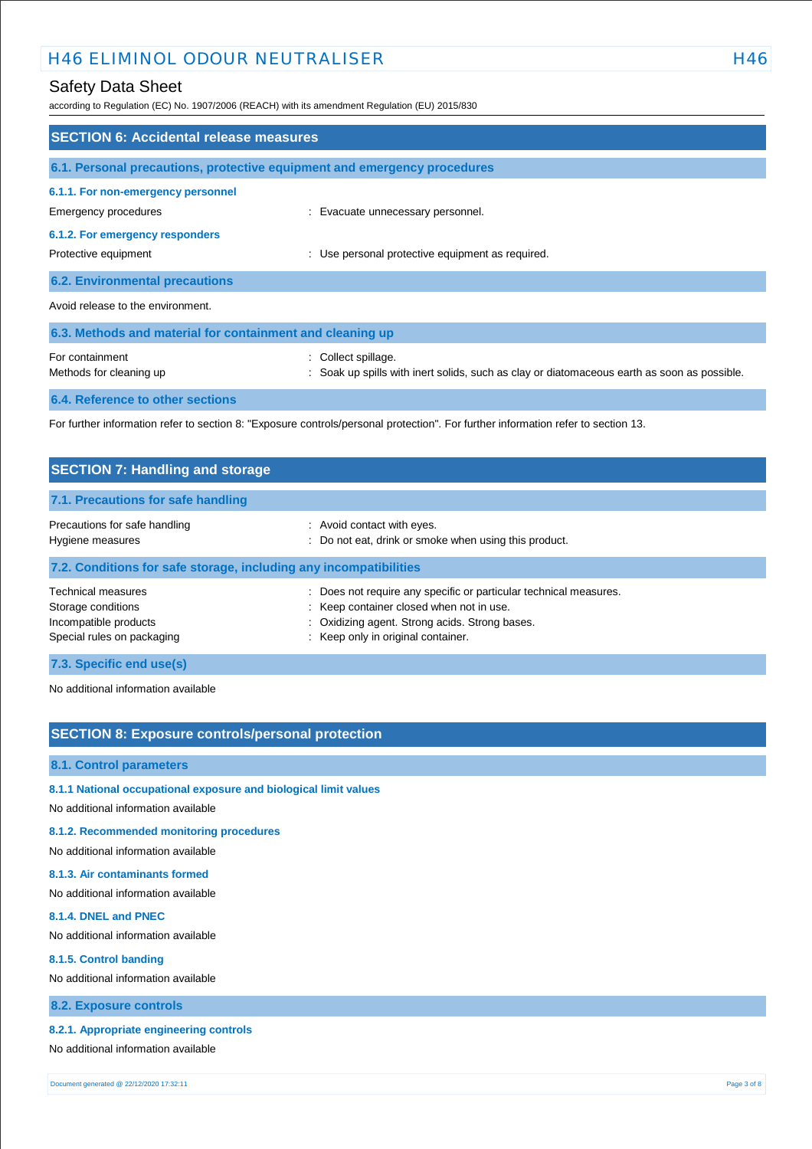# Safety Data Sheet

according to Regulation (EC) No. 1907/2006 (REACH) with its amendment Regulation (EU) 2015/830

| <b>SECTION 6: Accidental release measures</b>                                                                                     |                                                                                                                    |  |  |
|-----------------------------------------------------------------------------------------------------------------------------------|--------------------------------------------------------------------------------------------------------------------|--|--|
| 6.1. Personal precautions, protective equipment and emergency procedures                                                          |                                                                                                                    |  |  |
| 6.1.1. For non-emergency personnel<br>Emergency procedures                                                                        | : Evacuate unnecessary personnel.                                                                                  |  |  |
| 6.1.2. For emergency responders<br>Protective equipment                                                                           | : Use personal protective equipment as required.                                                                   |  |  |
| <b>6.2. Environmental precautions</b>                                                                                             |                                                                                                                    |  |  |
| Avoid release to the environment.                                                                                                 |                                                                                                                    |  |  |
| 6.3. Methods and material for containment and cleaning up                                                                         |                                                                                                                    |  |  |
| For containment<br>Methods for cleaning up                                                                                        | : Collect spillage.<br>: Soak up spills with inert solids, such as clay or diatomaceous earth as soon as possible. |  |  |
| 6.4. Reference to other sections                                                                                                  |                                                                                                                    |  |  |
| For further information refer to section 8: "Exposure controls/personal protection". For further information refer to section 13. |                                                                                                                    |  |  |

| <b>SECTION 7: Handling and storage</b>                                                          |                                                                                                                                                                                                     |  |  |
|-------------------------------------------------------------------------------------------------|-----------------------------------------------------------------------------------------------------------------------------------------------------------------------------------------------------|--|--|
| 7.1. Precautions for safe handling                                                              |                                                                                                                                                                                                     |  |  |
| Precautions for safe handling<br>Hygiene measures                                               | : Avoid contact with eyes.<br>: Do not eat, drink or smoke when using this product.                                                                                                                 |  |  |
| 7.2. Conditions for safe storage, including any incompatibilities                               |                                                                                                                                                                                                     |  |  |
| Technical measures<br>Storage conditions<br>Incompatible products<br>Special rules on packaging | Does not require any specific or particular technical measures.<br>: Keep container closed when not in use.<br>: Oxidizing agent. Strong acids. Strong bases.<br>: Keep only in original container. |  |  |
| 7.3. Specific end use(s)                                                                        |                                                                                                                                                                                                     |  |  |

No additional information available

# **SECTION 8: Exposure controls/personal protection**

#### **8.1. Control parameters**

## **8.1.1 National occupational exposure and biological limit values**

No additional information available

### **8.1.2. Recommended monitoring procedures**

No additional information available

### **8.1.3. Air contaminants formed**

No additional information available

#### **8.1.4. DNEL and PNEC**

No additional information available

#### **8.1.5. Control banding**

No additional information available

### **8.2. Exposure controls**

### **8.2.1. Appropriate engineering controls**

No additional information available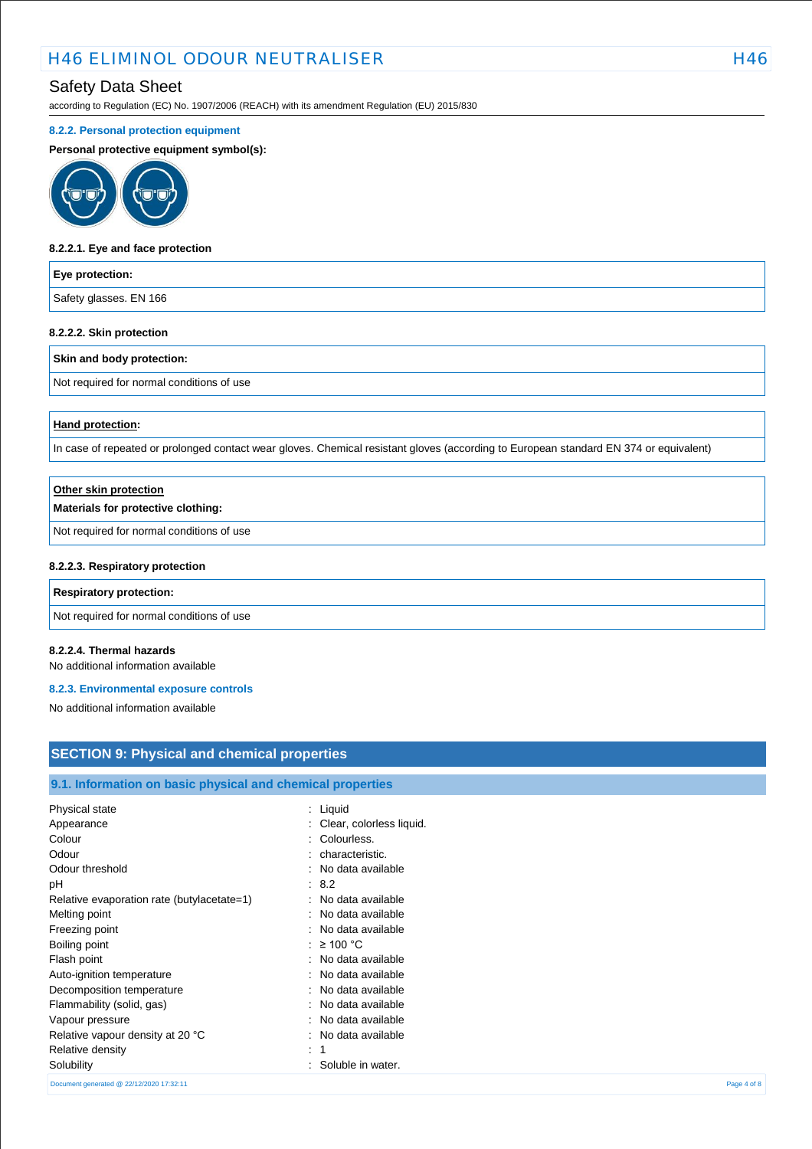# Safety Data Sheet

according to Regulation (EC) No. 1907/2006 (REACH) with its amendment Regulation (EU) 2015/830

#### **8.2.2. Personal protection equipment**

#### **Personal protective equipment symbol(s):**



#### **8.2.2.1. Eye and face protection**

#### **Eye protection:**

Safety glasses. EN 166

#### **8.2.2.2. Skin protection**

#### **Skin and body protection:**

Not required for normal conditions of use

#### **Hand protection:**

In case of repeated or prolonged contact wear gloves. Chemical resistant gloves (according to European standard EN 374 or equivalent)

| Other skin protection                     |  |
|-------------------------------------------|--|
| Materials for protective clothing:        |  |
| Not required for normal conditions of use |  |
| 8.2.2.3. Respiratory protection           |  |
| <b>Respiratory protection:</b>            |  |

Not required for normal conditions of use

#### **8.2.2.4. Thermal hazards**

No additional information available

#### **8.2.3. Environmental exposure controls**

No additional information available

# **SECTION 9: Physical and chemical properties**

### **9.1. Information on basic physical and chemical properties**

| Physical state                             | : Liquid                   |             |
|--------------------------------------------|----------------------------|-------------|
| Appearance                                 | : Clear, colorless liquid. |             |
| Colour                                     | Colourless.<br>٠           |             |
| Odour                                      | characteristic.            |             |
| Odour threshold                            | No data available          |             |
| рH                                         | : 8.2                      |             |
| Relative evaporation rate (butylacetate=1) | : No data available        |             |
| Melting point                              | : No data available        |             |
| Freezing point                             | : No data available        |             |
| Boiling point                              | : $\geq 100$ °C            |             |
| Flash point                                | : No data available        |             |
| Auto-ignition temperature                  | : No data available        |             |
| Decomposition temperature                  | : No data available        |             |
| Flammability (solid, gas)                  | No data available<br>۰.    |             |
| Vapour pressure                            | No data available          |             |
| Relative vapour density at 20 °C           | : No data available        |             |
| Relative density                           | ÷                          |             |
| Solubility                                 | Soluble in water.          |             |
| Document generated @ 22/12/2020 17:32:11   |                            | Page 4 of 8 |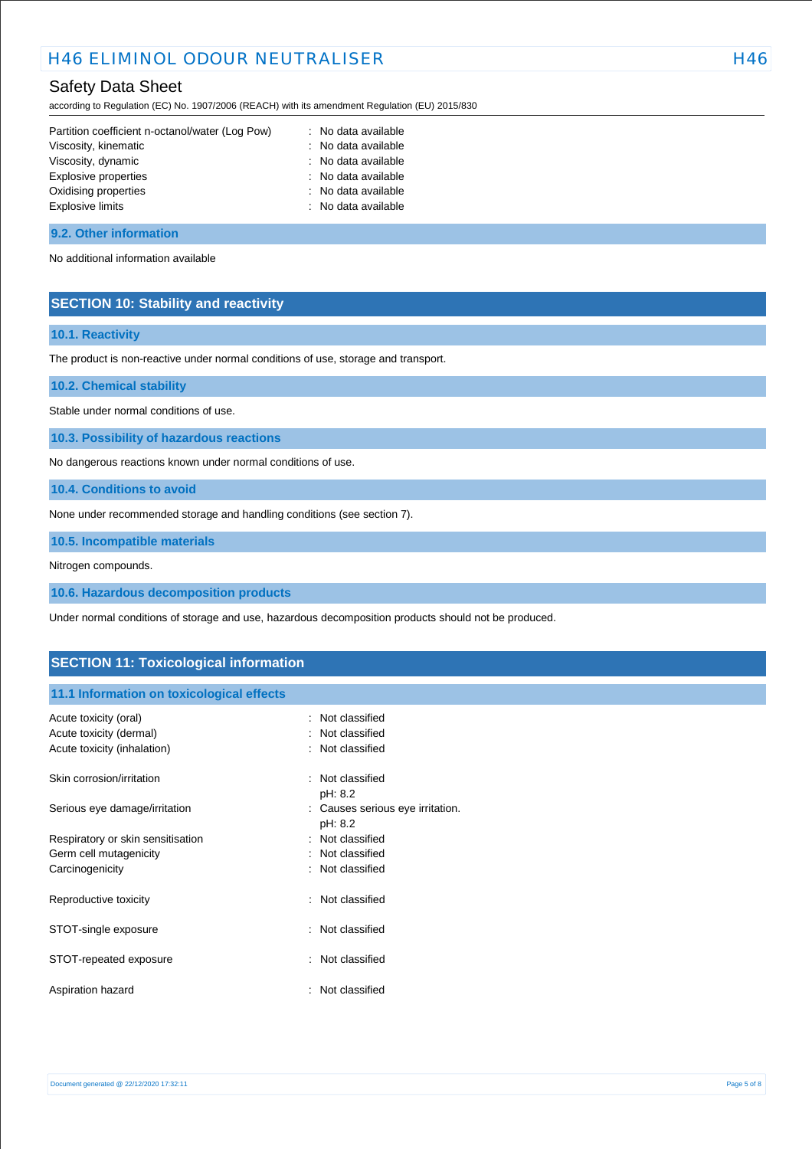# Safety Data Sheet

according to Regulation (EC) No. 1907/2006 (REACH) with its amendment Regulation (EU) 2015/830

| Partition coefficient n-octanol/water (Log Pow) | : No data available |
|-------------------------------------------------|---------------------|
| Viscosity, kinematic                            | : No data available |
| Viscosity, dynamic                              | : No data available |
| Explosive properties                            | : No data available |
| Oxidising properties                            | : No data available |
| <b>Explosive limits</b>                         | : No data available |
|                                                 |                     |

#### **9.2. Other information**

No additional information available

### **SECTION 10: Stability and reactivity**

### **10.1. Reactivity**

The product is non-reactive under normal conditions of use, storage and transport.

**10.2. Chemical stability**

Stable under normal conditions of use.

**10.3. Possibility of hazardous reactions**

No dangerous reactions known under normal conditions of use.

**10.4. Conditions to avoid**

None under recommended storage and handling conditions (see section 7).

**10.5. Incompatible materials**

Nitrogen compounds.

**10.6. Hazardous decomposition products**

Under normal conditions of storage and use, hazardous decomposition products should not be produced.

### **SECTION 11: Toxicological information**

### **11.1 Information on toxicological effects**

| Acute toxicity (oral)<br>Acute toxicity (dermal)<br>Acute toxicity (inhalation) | Not classified<br>: Not classified<br>: Not classified |
|---------------------------------------------------------------------------------|--------------------------------------------------------|
| Skin corrosion/irritation                                                       | : Not classified<br>pH: 8.2                            |
| Serious eye damage/irritation                                                   | : Causes serious eye irritation.<br>pH: 8.2            |
| Respiratory or skin sensitisation                                               | : Not classified                                       |
| Germ cell mutagenicity                                                          | Not classified                                         |
| Carcinogenicity                                                                 | : Not classified                                       |
| Reproductive toxicity                                                           | : Not classified                                       |
| STOT-single exposure                                                            | : Not classified                                       |
| STOT-repeated exposure                                                          | : Not classified                                       |
| Aspiration hazard                                                               | Not classified                                         |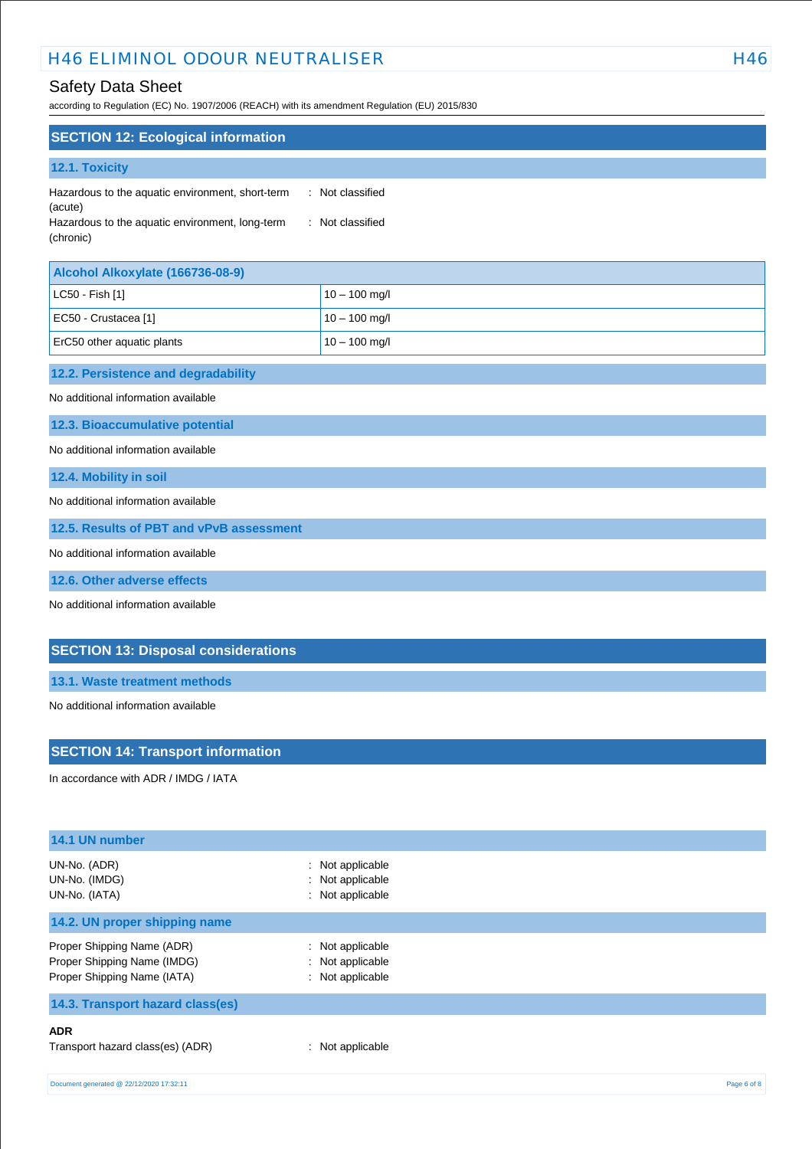# Safety Data Sheet

according to Regulation (EC) No. 1907/2006 (REACH) with its amendment Regulation (EU) 2015/830

| <b>SECTION 12: Ecological information</b>                    |                  |
|--------------------------------------------------------------|------------------|
| <b>12.1. Toxicity</b>                                        |                  |
| Hazardous to the aquatic environment, short-term<br>(acute)  | : Not classified |
| Hazardous to the aquatic environment, long-term<br>(chronic) | : Not classified |

| Alcohol Alkoxylate (166736-08-9) |                 |
|----------------------------------|-----------------|
| $ $ LC50 - Fish [1]              | $10 - 100$ mg/l |
| EC50 - Crustacea [1]             | $10 - 100$ mg/l |
| ErC50 other aquatic plants       | $10 - 100$ mg/l |

# **12.2. Persistence and degradability**

No additional information available

**12.3. Bioaccumulative potential**

No additional information available

**12.4. Mobility in soil**

No additional information available

**12.5. Results of PBT and vPvB assessment**

No additional information available

**12.6. Other adverse effects**

No additional information available

### **SECTION 13: Disposal considerations**

**13.1. Waste treatment methods**

No additional information available

### **SECTION 14: Transport information**

In accordance with ADR / IMDG / IATA

| 14.1 UN number                                                                           |                                                          |  |  |  |
|------------------------------------------------------------------------------------------|----------------------------------------------------------|--|--|--|
| UN-No. (ADR)<br>UN-No. (IMDG)<br>UN-No. (IATA)                                           | : Not applicable<br>: Not applicable<br>: Not applicable |  |  |  |
| 14.2. UN proper shipping name                                                            |                                                          |  |  |  |
| Proper Shipping Name (ADR)<br>Proper Shipping Name (IMDG)<br>Proper Shipping Name (IATA) | : Not applicable<br>: Not applicable<br>: Not applicable |  |  |  |
| 14.3. Transport hazard class(es)                                                         |                                                          |  |  |  |
| <b>ADR</b><br>Transport hazard class(es) (ADR)                                           | : Not applicable                                         |  |  |  |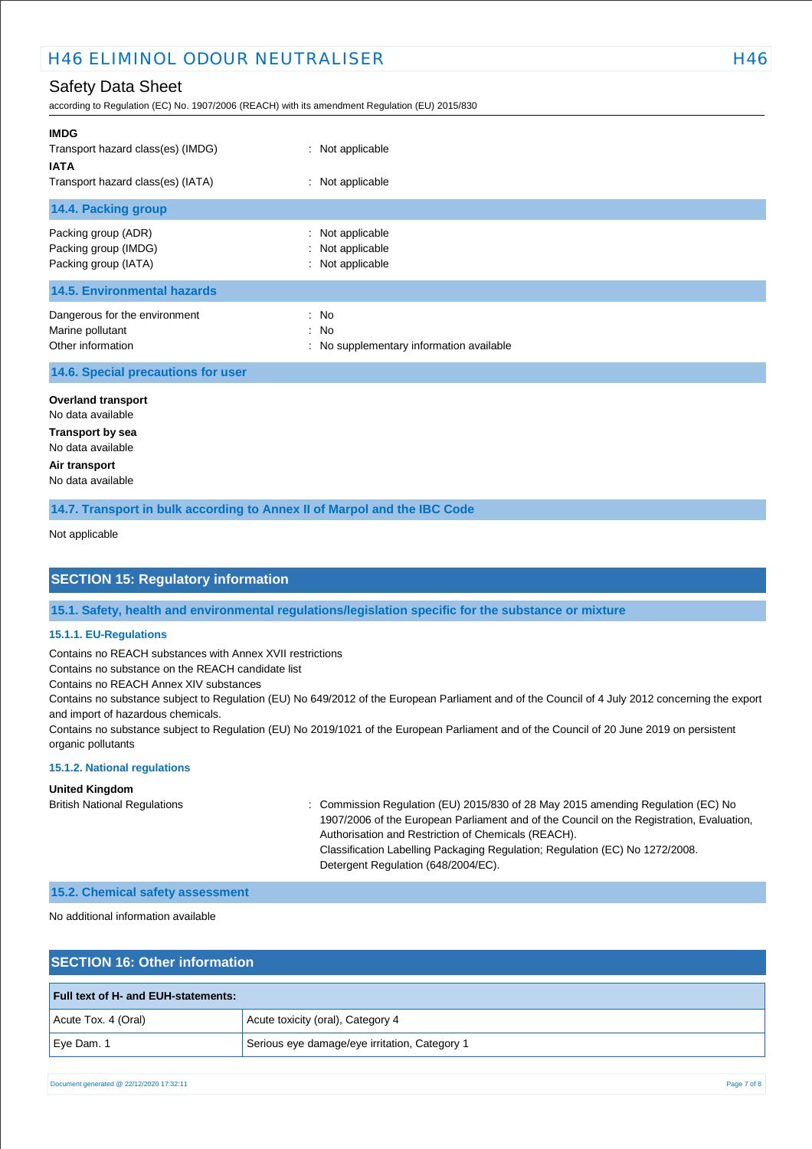# Safety Data Sheet

according to Regulation (EC) No. 1907/2006 (REACH) with its amendment Regulation (EU) 2015/830

| <b>IMDG</b><br>Transport hazard class(es) (IMDG)<br><b>IATA</b><br>Transport hazard class(es) (IATA) | : Not applicable<br>: Not applicable                     |
|------------------------------------------------------------------------------------------------------|----------------------------------------------------------|
| 14.4. Packing group                                                                                  |                                                          |
| Packing group (ADR)<br>Packing group (IMDG)<br>Packing group (IATA)                                  | : Not applicable<br>: Not applicable<br>: Not applicable |
| <b>14.5. Environmental hazards</b>                                                                   |                                                          |
| Dangerous for the environment<br>Marine pollutant<br>Other information                               | : No<br>: No<br>: No supplementary information available |

### **14.6. Special precautions for user**

**Overland transport** No data available

**Transport by sea** No data available **Air transport**

No data available

**14.7. Transport in bulk according to Annex II of Marpol and the IBC Code**

Not applicable

# **SECTION 15: Regulatory information**

**15.1. Safety, health and environmental regulations/legislation specific for the substance or mixture**

#### **15.1.1. EU-Regulations**

Contains no REACH substances with Annex XVII restrictions

Contains no substance on the REACH candidate list

Contains no REACH Annex XIV substances

Contains no substance subject to Regulation (EU) No 649/2012 of the European Parliament and of the Council of 4 July 2012 concerning the export and import of hazardous chemicals.

Contains no substance subject to Regulation (EU) No 2019/1021 of the European Parliament and of the Council of 20 June 2019 on persistent organic pollutants

#### **15.1.2. National regulations**

#### **United Kingdom**

British National Regulations : Commission Regulation (EU) 2015/830 of 28 May 2015 amending Regulation (EC) No 1907/2006 of the European Parliament and of the Council on the Registration, Evaluation, Authorisation and Restriction of Chemicals (REACH). Classification Labelling Packaging Regulation; Regulation (EC) No 1272/2008. Detergent Regulation (648/2004/EC).

#### **15.2. Chemical safety assessment**

### No additional information available

## **SECTION 16: Other information**

| <b>Full text of H- and EUH-statements:</b> |                                               |
|--------------------------------------------|-----------------------------------------------|
| Acute Tox. 4 (Oral)                        | Acute toxicity (oral), Category 4             |
| Eye Dam. 1                                 | Serious eye damage/eye irritation, Category 1 |